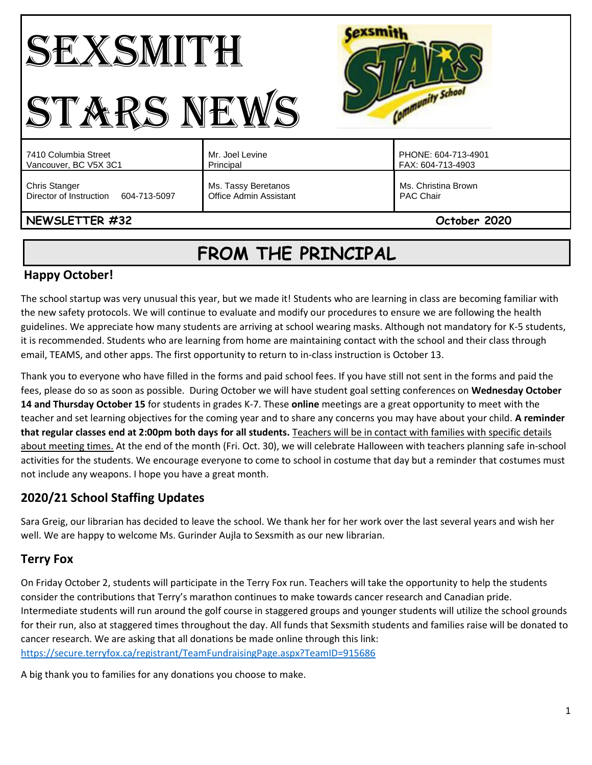#### Cexsmith SEXSMITH Community School STARS NEWS PHONE: 604-713-4901 7410 Columbia Street Mr. Joel Levine Vancouver, BC V5X 3C1 Principal FAX: 604-713-4903 Chris Stanger Ms. Tassy Beretanos Ms. Christina Brown Director of Instruction 604-713-5097 Office Admin Assistant PAC Chair **NEWSLETTER #32 October 2020**

# **FROM THE PRINCIPAL**

## **Happy October!**

The school startup was very unusual this year, but we made it! Students who are learning in class are becoming familiar with the new safety protocols. We will continue to evaluate and modify our procedures to ensure we are following the health guidelines. We appreciate how many students are arriving at school wearing masks. Although not mandatory for K-5 students, it is recommended. Students who are learning from home are maintaining contact with the school and their class through email, TEAMS, and other apps. The first opportunity to return to in-class instruction is October 13.

Thank you to everyone who have filled in the forms and paid school fees. If you have still not sent in the forms and paid the fees, please do so as soon as possible. During October we will have student goal setting conferences on **Wednesday October 14 and Thursday October 15** for students in grades K-7. These **online** meetings are a great opportunity to meet with the teacher and set learning objectives for the coming year and to share any concerns you may have about your child. **A reminder that regular classes end at 2:00pm both days for all students.** Teachers will be in contact with families with specific details about meeting times. At the end of the month (Fri. Oct. 30), we will celebrate Halloween with teachers planning safe in-school activities for the students. We encourage everyone to come to school in costume that day but a reminder that costumes must not include any weapons. I hope you have a great month.

## **2020/21 School Staffing Updates**

Sara Greig, our librarian has decided to leave the school. We thank her for her work over the last several years and wish her well. We are happy to welcome Ms. Gurinder Aujla to Sexsmith as our new librarian.

# **Terry Fox**

On Friday October 2, students will participate in the Terry Fox run. Teachers will take the opportunity to help the students consider the contributions that Terry's marathon continues to make towards cancer research and Canadian pride. Intermediate students will run around the golf course in staggered groups and younger students will utilize the school grounds for their run, also at staggered times throughout the day. All funds that Sexsmith students and families raise will be donated to cancer research. We are asking that all donations be made online through this link: <https://secure.terryfox.ca/registrant/TeamFundraisingPage.aspx?TeamID=915686>

A big thank you to families for any donations you choose to make.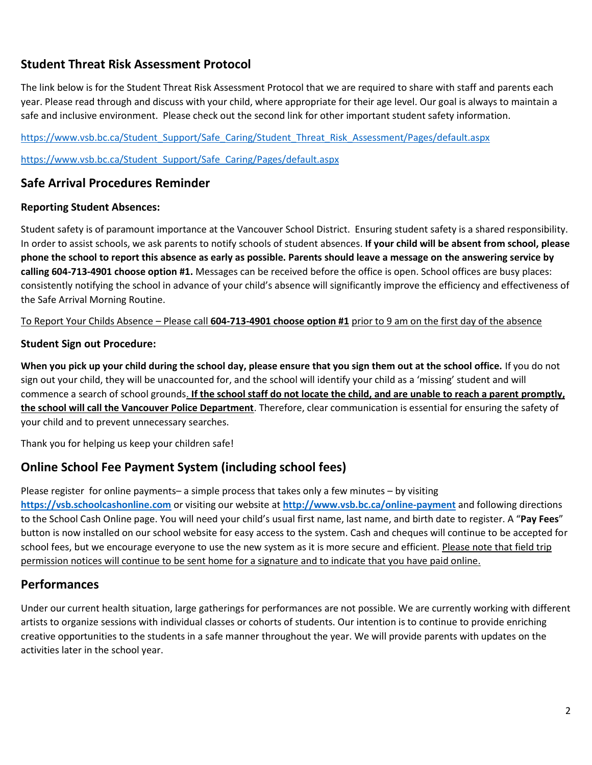## **Student Threat Risk Assessment Protocol**

The link below is for the Student Threat Risk Assessment Protocol that we are required to share with staff and parents each year. Please read through and discuss with your child, where appropriate for their age level. Our goal is always to maintain a safe and inclusive environment. Please check out the second link for other important student safety information.

[https://www.vsb.bc.ca/Student\\_Support/Safe\\_Caring/Student\\_Threat\\_Risk\\_Assessment/Pages/default.aspx](https://www.vsb.bc.ca/Student_Support/Safe_Caring/Student_Threat_Risk_Assessment/Pages/default.aspx)

[https://www.vsb.bc.ca/Student\\_Support/Safe\\_Caring/Pages/default.aspx](https://www.vsb.bc.ca/Student_Support/Safe_Caring/Pages/default.aspx)

## **Safe Arrival Procedures Reminder**

#### **Reporting Student Absences:**

Student safety is of paramount importance at the Vancouver School District. Ensuring student safety is a shared responsibility. In order to assist schools, we ask parents to notify schools of student absences. **If your child will be absent from school, please phone the school to report this absence as early as possible. Parents should leave a message on the answering service by calling 604-713-4901 choose option #1.** Messages can be received before the office is open. School offices are busy places: consistently notifying the school in advance of your child's absence will significantly improve the efficiency and effectiveness of the Safe Arrival Morning Routine.

To Report Your Childs Absence – Please call **604-713-4901 choose option #1** prior to 9 am on the first day of the absence

#### **Student Sign out Procedure:**

**When you pick up your child during the school day, please ensure that you sign them out at the school office.** If you do not sign out your child, they will be unaccounted for, and the school will identify your child as a 'missing' student and will commence a search of school grounds. **If the school staff do not locate the child, and are unable to reach a parent promptly, the school will call the Vancouver Police Department**. Therefore, clear communication is essential for ensuring the safety of your child and to prevent unnecessary searches.

Thank you for helping us keep your children safe!

## **Online School Fee Payment System (including school fees)**

Please register for online payments– a simple process that takes only a few minutes – by visiting

**[https://vsb.schoolcashonline.com](https://vsb.schoolcashonline.com/)** or visiting our website at **<http://www.vsb.bc.ca/online-payment>** and following directions to the School Cash Online page. You will need your child's usual first name, last name, and birth date to register. A "**Pay Fees**" button is now installed on our school website for easy access to the system. Cash and cheques will continue to be accepted for school fees, but we encourage everyone to use the new system as it is more secure and efficient. Please note that field trip permission notices will continue to be sent home for a signature and to indicate that you have paid online.

#### **Performances**

Under our current health situation, large gatherings for performances are not possible. We are currently working with different artists to organize sessions with individual classes or cohorts of students. Our intention is to continue to provide enriching creative opportunities to the students in a safe manner throughout the year. We will provide parents with updates on the activities later in the school year.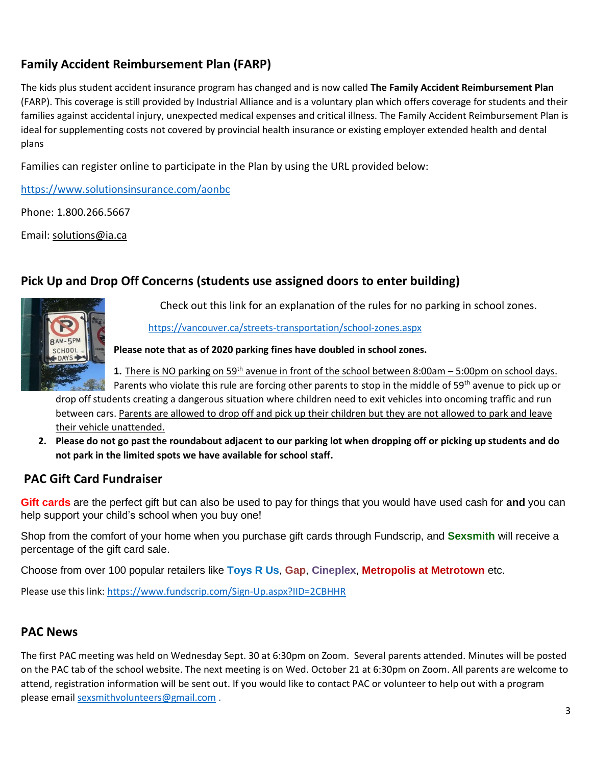# **Family Accident Reimbursement Plan (FARP)**

The kids plus student accident insurance program has changed and is now called **The Family Accident Reimbursement Plan** (FARP). This coverage is still provided by Industrial Alliance and is a voluntary plan which offers coverage for students and their families against accidental injury, unexpected medical expenses and critical illness. The Family Accident Reimbursement Plan is ideal for supplementing costs not covered by provincial health insurance or existing employer extended health and dental plans

Families can register online to participate in the Plan by using the URL provided below:

<https://www.solutionsinsurance.com/aonbc>

Phone: 1.800.266.5667

Email: [solutions@ia.ca](mailto:solutions@ia.ca)

## **Pick Up and Drop Off Concerns (students use assigned doors to enter building)**



Check out this link for an explanation of the rules for no parking in school zones.

<https://vancouver.ca/streets-transportation/school-zones.aspx>

**Please note that as of 2020 parking fines have doubled in school zones.** 

**1.** There is NO parking on 59<sup>th</sup> avenue in front of the school between 8:00am – 5:00pm on school days.

Parents who violate this rule are forcing other parents to stop in the middle of 59<sup>th</sup> avenue to pick up or drop off students creating a dangerous situation where children need to exit vehicles into oncoming traffic and run between cars. Parents are allowed to drop off and pick up their children but they are not allowed to park and leave their vehicle unattended.

**2. Please do not go past the roundabout adjacent to our parking lot when dropping off or picking up students and do not park in the limited spots we have available for school staff.** 

## **PAC Gift Card Fundraiser**

**Gift cards** are the perfect gift but can also be used to pay for things that you would have used cash for **and** you can help support your child's school when you buy one!

Shop from the comfort of your home when you purchase gift cards through Fundscrip, and **Sexsmith** will receive a percentage of the gift card sale.

Choose from over 100 popular retailers like **Toys R Us**, **Gap**, **Cineplex**, **Metropolis at Metrotown** etc.

Please use this link:<https://www.fundscrip.com/Sign-Up.aspx?IID=2CBHHR>

## **PAC News**

The first PAC meeting was held on Wednesday Sept. 30 at 6:30pm on Zoom. Several parents attended. Minutes will be posted on the PAC tab of the school website. The next meeting is on Wed. October 21 at 6:30pm on Zoom. All parents are welcome to attend, registration information will be sent out. If you would like to contact PAC or volunteer to help out with a program please email [sexsmithvolunteers@gmail.com](mailto:sexsmithvolunteers@gmail.com) .